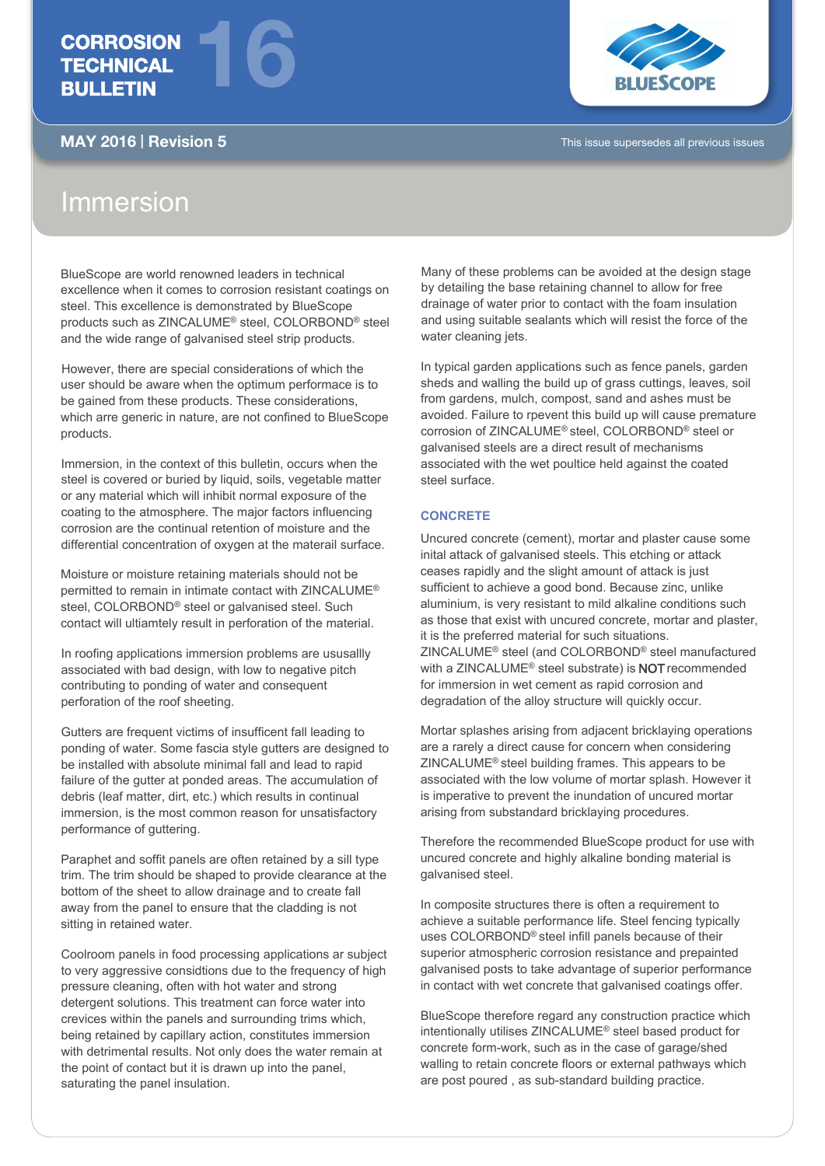## **CORROSION TECHNICAL** BULLETIN



MAY 2016 | Revision 5 This issue supersedes all previous issues

# Immersion

BlueScope are world renowned leaders in technical excellence when it comes to corrosion resistant coatings on steel. This excellence is demonstrated by BlueScope products such as ZINCALUME® steel, COLORBOND® steel and the wide range of galvanised steel strip products.

16

However, there are special considerations of which the user should be aware when the optimum performace is to be gained from these products. These considerations, which arre generic in nature, are not confined to BlueScope products.

Immersion, in the context of this bulletin, occurs when the steel is covered or buried by liquid, soils, vegetable matter or any material which will inhibit normal exposure of the coating to the atmosphere. The major factors influencing corrosion are the continual retention of moisture and the differential concentration of oxygen at the materail surface.

Moisture or moisture retaining materials should not be permitted to remain in intimate contact with ZINCALUME® steel, COLORBOND® steel or galvanised steel. Such contact will ultiamtely result in perforation of the material.

In roofing applications immersion problems are ususallly associated with bad design, with low to negative pitch contributing to ponding of water and consequent perforation of the roof sheeting.

Gutters are frequent victims of insufficent fall leading to ponding of water. Some fascia style gutters are designed to be installed with absolute minimal fall and lead to rapid failure of the gutter at ponded areas. The accumulation of debris (leaf matter, dirt, etc.) which results in continual immersion, is the most common reason for unsatisfactory performance of guttering.

Paraphet and soffit panels are often retained by a sill type trim. The trim should be shaped to provide clearance at the bottom of the sheet to allow drainage and to create fall away from the panel to ensure that the cladding is not sitting in retained water.

Coolroom panels in food processing applications ar subject to very aggressive considtions due to the frequency of high pressure cleaning, often with hot water and strong detergent solutions. This treatment can force water into crevices within the panels and surrounding trims which, being retained by capillary action, constitutes immersion with detrimental results. Not only does the water remain at the point of contact but it is drawn up into the panel, saturating the panel insulation.

Many of these problems can be avoided at the design stage by detailing the base retaining channel to allow for free drainage of water prior to contact with the foam insulation and using suitable sealants which will resist the force of the water cleaning jets.

In typical garden applications such as fence panels, garden sheds and walling the build up of grass cuttings, leaves, soil from gardens, mulch, compost, sand and ashes must be avoided. Failure to rpevent this build up will cause premature corrosion of ZINCALUME® steel, COLORBOND® steel or galvanised steels are a direct result of mechanisms associated with the wet poultice held against the coated steel surface.

## **CONCRETE**

Uncured concrete (cement), mortar and plaster cause some inital attack of galvanised steels. This etching or attack ceases rapidly and the slight amount of attack is just sufficient to achieve a good bond. Because zinc, unlike aluminium, is very resistant to mild alkaline conditions such as those that exist with uncured concrete, mortar and plaster, it is the preferred material for such situations. ZINCALUME® steel (and COLORBOND® steel manufactured with a ZINCALUME® steel substrate) is NOT recommended for immersion in wet cement as rapid corrosion and degradation of the alloy structure will quickly occur.

Mortar splashes arising from adjacent bricklaying operations are a rarely a direct cause for concern when considering ZINCALUME® steel building frames. This appears to be associated with the low volume of mortar splash. However it is imperative to prevent the inundation of uncured mortar arising from substandard bricklaying procedures.

Therefore the recommended BlueScope product for use with uncured concrete and highly alkaline bonding material is galvanised steel.

In composite structures there is often a requirement to achieve a suitable performance life. Steel fencing typically uses COLORBOND® steel infill panels because of their superior atmospheric corrosion resistance and prepainted galvanised posts to take advantage of superior performance in contact with wet concrete that galvanised coatings offer.

BlueScope therefore regard any construction practice which intentionally utilises ZINCALUME® steel based product for concrete form-work, such as in the case of garage/shed walling to retain concrete floors or external pathways which are post poured , as sub-standard building practice.